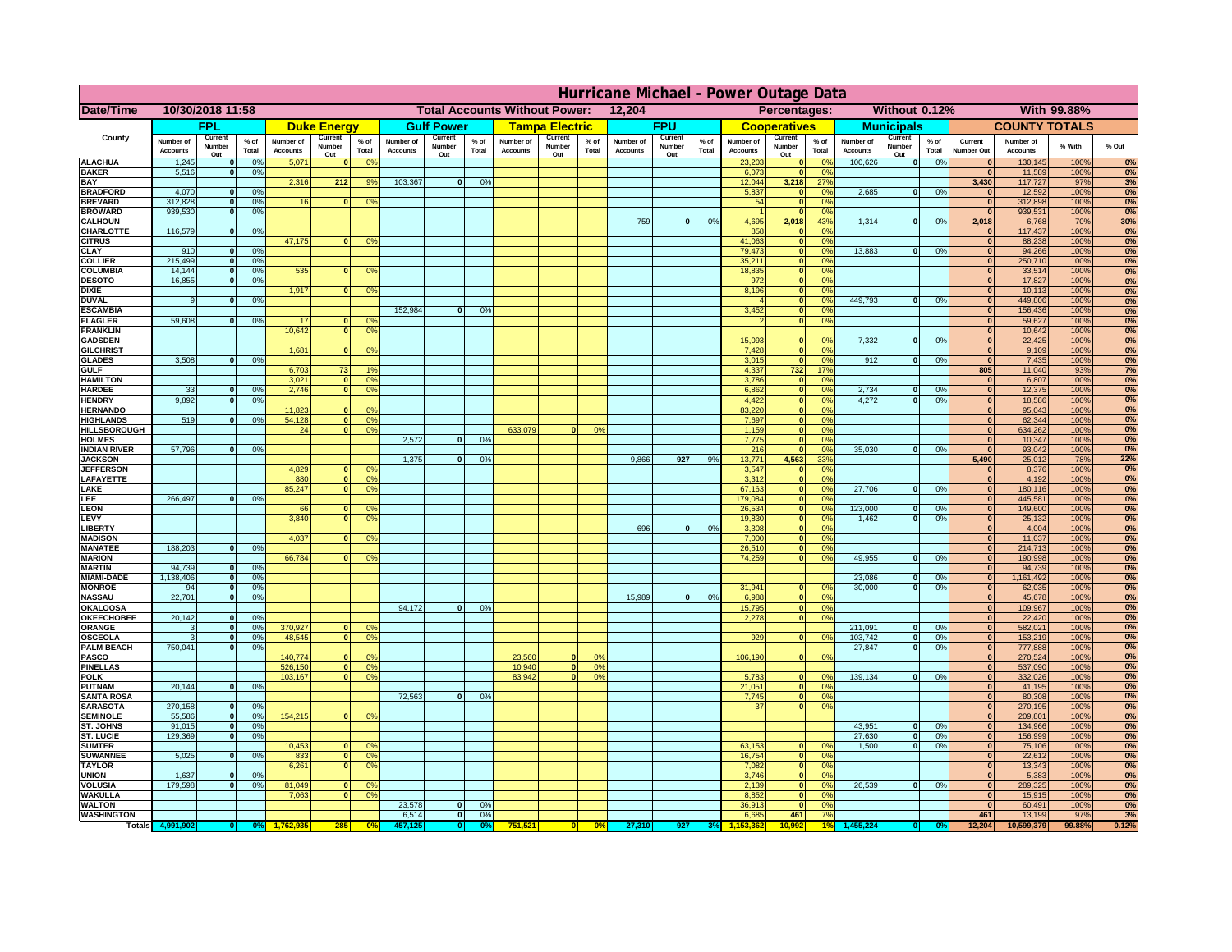|                                         | Hurricane Michael - Power Outage Data |                             |                      |                              |                                                |                                              |                              |                   |                |                              |                                              |                  |                              |                   |                 |                              |                      |                 |                              |                         |                 |                                      |                              |              |           |
|-----------------------------------------|---------------------------------------|-----------------------------|----------------------|------------------------------|------------------------------------------------|----------------------------------------------|------------------------------|-------------------|----------------|------------------------------|----------------------------------------------|------------------|------------------------------|-------------------|-----------------|------------------------------|----------------------|-----------------|------------------------------|-------------------------|-----------------|--------------------------------------|------------------------------|--------------|-----------|
| Date/Time                               | 10/30/2018 11:58                      |                             |                      |                              | <b>Total Accounts Without Power:</b><br>12,204 |                                              |                              |                   |                |                              | Without 0.12%<br>With 99.88%<br>Percentages: |                  |                              |                   |                 |                              |                      |                 |                              |                         |                 |                                      |                              |              |           |
|                                         |                                       | FPL                         |                      |                              | <b>Duke Energy</b>                             |                                              |                              | <b>Gulf Power</b> |                |                              | <b>Tampa Electric</b>                        |                  |                              | <b>FPU</b>        |                 |                              | <b>Cooperatives</b>  |                 |                              | <b>Municipals</b>       |                 |                                      | <b>COUNTY TOTALS</b>         |              |           |
| County                                  | Number of<br><b>Accounts</b>          | Current<br>Number           | $%$ of<br>Total      | Number of<br><b>Accounts</b> | Current<br>Number                              | $%$ of<br>Total                              | Number of<br><b>Accounts</b> | Current<br>Number | % of<br>Total  | Number of<br><b>Accounts</b> | Current<br>Number                            | $%$ of<br>Total  | Number of<br><b>Accounts</b> | Current<br>Number | $%$ of<br>Total | Number of<br><b>Accounts</b> | Current<br>Number    | $%$ of<br>Total | Number of<br><b>Accounts</b> | Current<br>Number       | $%$ of<br>Total | Current<br><b>Number Out</b>         | Number of<br><b>Accounts</b> | % With       | % Out     |
| <b>ALACHUA</b>                          | 1,245                                 | Out<br>$\mathbf{0}$         | 0%                   | 5,071                        | Out<br>$\mathbf{0}$                            | 0 <sup>9</sup>                               |                              | Out               |                |                              | Out                                          |                  |                              | Out               |                 | 23,203                       | Out<br> 0            | 0 <sup>9</sup>  | 100,626                      | Out<br> 0               | 0%              | $\bf{0}$                             | 130,145                      | 100%         | 0%        |
| <b>BAKER</b>                            | 5,516                                 | 0                           | 0%                   |                              |                                                |                                              |                              |                   |                |                              |                                              |                  |                              |                   |                 | 6,073                        | 0                    | 0%              |                              |                         |                 | $\overline{0}$                       | 11,589                       | 100%         | 0%        |
| <b>BAY</b><br><b>BRADFORD</b>           | 4,070                                 | $\mathbf{0}$                | 0%                   | 2,316                        | 212                                            | 9%                                           | 103,367                      | 0                 | 0%             |                              |                                              |                  |                              |                   |                 | 12,044<br>5,837              | 3,218                | 27%<br>0%       | 2,685                        | 0                       | 0%              | 3,430<br>$\bf{0}$                    | 117,727<br>12,592            | 97%<br>100%  | 3%<br>0%  |
| <b>BREVARD</b>                          | 312,828                               | 0                           | 0%                   | 16                           | 0                                              | 0 <sup>o</sup>                               |                              |                   |                |                              |                                              |                  |                              |                   |                 | 54                           | 0 <br> 0             | 0%              |                              |                         |                 | 0                                    | 312,898                      | 100%         | 0%        |
| <b>BROWARD</b>                          | 939.530                               | 0                           | 0%                   |                              |                                                |                                              |                              |                   |                |                              |                                              |                  |                              |                   |                 |                              | 0                    | 0%              |                              |                         |                 | $\bf{0}$                             | 939,531                      | 100%         | 0%        |
| <b>CALHOUN</b><br>CHARLOTTE             | 116,579                               | 0                           | 0%                   |                              |                                                |                                              |                              |                   |                |                              |                                              |                  | 759                          | $\mathbf{0}$      | 0%              | 4,695<br>858                 | 2,018<br> 0          | 43%<br>0%       | 1,314                        | 0                       | 0%              | 2,018                                | 6,768<br>117,437             | 70%<br>100%  | 30%<br>0% |
| <b>CITRUS</b>                           |                                       |                             |                      | 47,175                       | $\mathbf{0}$                                   | 0 <sup>o</sup>                               |                              |                   |                |                              |                                              |                  |                              |                   |                 | 41,063                       | 0                    | 0 <sup>9</sup>  |                              |                         |                 | $\bf{0}$                             | 88,238                       | 100%         | 0%        |
| <b>CLAY</b>                             | 910                                   | $\mathbf{0}$                | 0%                   |                              |                                                |                                              |                              |                   |                |                              |                                              |                  |                              |                   |                 | 79,473                       | 0                    | 0%              | 13,883                       | $\mathbf{0}$            | 0%              | $\bf{0}$                             | 94,266                       | 100%         | 0%        |
| <b>COLLIER</b><br><b>COLUMBIA</b>       | 215,499<br>14,144                     | $\mathbf{0}$<br>$\mathbf 0$ | 0 <sup>9</sup><br>0% | 535                          | $\mathbf{0}$                                   | 0 <sup>9</sup>                               |                              |                   |                |                              |                                              |                  |                              |                   |                 | 35,211<br>18,835             | 0 <br> 0             | 0%<br>0%        |                              |                         |                 | $\bf{0}$<br>$\bf{0}$                 | 250,710<br>33,514            | 100%<br>100% | 0%<br>0%  |
| <b>DESOTO</b>                           | 16,855                                | $\mathbf{0}$                | 0%                   |                              |                                                |                                              |                              |                   |                |                              |                                              |                  |                              |                   |                 | 972                          | 0                    | 0%              |                              |                         |                 | $\bf{0}$                             | 17,827                       | 100%         | 0%        |
| <b>DIXIE</b>                            |                                       |                             |                      | 1,917                        | $\Omega$                                       | 0 <sup>9</sup>                               |                              |                   |                |                              |                                              |                  |                              |                   |                 | 8,196                        | 0                    | 0%              |                              |                         |                 | $\Omega$                             | 10,113                       | 100%         | 0%        |
| <b>DUVAL</b><br><b>ESCAMBIA</b>         | 9                                     | $\Omega$                    | 0%                   |                              |                                                |                                              | 152,984                      | $\mathbf{0}$      | 0 <sup>9</sup> |                              |                                              |                  |                              |                   |                 | 3,452                        | 0 <br> 0             | 0%<br>0%        | 449.793                      | $\overline{0}$          | 0%              | $\Omega$<br>$\Omega$                 | 449,806<br>156,436           | 100%<br>100% | 0%<br>0%  |
| <b>FLAGLER</b>                          | 59,608                                | $\overline{0}$              | 0%                   | 17                           | $\bf{0}$                                       | 0 <sup>o</sup>                               |                              |                   |                |                              |                                              |                  |                              |                   |                 |                              | 0                    | 0%              |                              |                         |                 | $\bf{0}$                             | 59,627                       | 100%         | 0%        |
| <b>FRANKLIN</b>                         |                                       |                             |                      | 10,642                       | 0                                              | 0 <sup>9</sup>                               |                              |                   |                |                              |                                              |                  |                              |                   |                 |                              |                      |                 |                              |                         |                 | $\overline{0}$                       | 10,642                       | 100%         | 0%        |
| <b>GADSDEN</b><br><b>GILCHRIST</b>      |                                       |                             |                      | 1,681                        | $\Omega$                                       | 0 <sup>9</sup>                               |                              |                   |                |                              |                                              |                  |                              |                   |                 | 15,093<br>7,428              | $\mathbf{0}$<br> 0   | 0%<br>0%        | 7,332                        | 0                       | 0%              | $\overline{0}$<br>$\hat{\mathbf{0}}$ | 22,425<br>9,109              | 100%<br>100% | 0%<br>0%  |
| <b>GLADES</b>                           | 3,508                                 | 0                           | 0%                   |                              |                                                |                                              |                              |                   |                |                              |                                              |                  |                              |                   |                 | 3,015                        | 0                    | 0%              | 912                          | $\overline{0}$          | 0%              | 0                                    | 7,435                        | 100%         | 0%        |
| <b>GULF</b>                             |                                       |                             |                      | 6,703                        | 73                                             | 1 <sup>c</sup>                               |                              |                   |                |                              |                                              |                  |                              |                   |                 | 4,337                        | $732$                | 17%             |                              |                         |                 | 805                                  | 11,040                       | 93%          | 7%        |
| <b>HAMILTON</b><br><b>HARDEE</b>        | 33                                    | $\overline{0}$              | 0%                   | 3,021<br>2.746               | $\overline{0}$<br> 0                           | 0 <sup>9</sup><br>0 <sup>9</sup>             |                              |                   |                |                              |                                              |                  |                              |                   |                 | 3,786<br>6.862               | 0 <br> 0             | 0%<br>0%        | 2.734                        | $\mathbf{0}$            | 0%              | 0 <br> 0                             | 6,807<br>12,375              | 100%<br>100% | 0%<br>0%  |
| <b>HENDRY</b>                           | 9,892                                 | $\Omega$                    | 0%                   |                              |                                                |                                              |                              |                   |                |                              |                                              |                  |                              |                   |                 | 4,422                        | 0                    | 0%              | 4,272                        | $\Omega$                | 0%              | 0                                    | 18,586                       | 100%         | 0%        |
| <b>HERNANDO</b>                         |                                       |                             |                      | 11,823                       | $\mathbf{0}$                                   | 0 <sup>9</sup>                               |                              |                   |                |                              |                                              |                  |                              |                   |                 | 83,220                       | 0                    | 0%              |                              |                         |                 | $\mathbf{0}$                         | 95,043                       | 100%         | 0%        |
| <b>HIGHLANDS</b><br><b>HILLSBOROUGH</b> | 519                                   | $\mathbf{0}$                | 0 <sup>9</sup>       | 54,128<br>24                 | 0 <br> 0                                       | 0 <sup>9</sup><br>0 <sup>9</sup>             |                              |                   |                | 633,079                      |                                              | 0%               |                              |                   |                 | 7,697<br>1,159               | 0 <br> 0             | 0%<br>0%        |                              |                         |                 | $\mathbf{0}$<br>$\mathbf{0}$         | 62,344<br>634,262            | 100%<br>100% | 0%<br>0%  |
| <b>HOLMES</b>                           |                                       |                             |                      |                              |                                                |                                              | 2.572                        | $\mathbf{0}$      | 0%             |                              |                                              |                  |                              |                   |                 | 7,775                        | 0                    | 0%              |                              |                         |                 | $\mathbf{0}$                         | 10,347                       | 100%         | 0%        |
| <b>INDIAN RIVER</b>                     | 57,796                                | $\mathbf{0}$                | 0%                   |                              |                                                |                                              |                              |                   |                |                              |                                              |                  |                              |                   |                 | 216                          | 0                    | 0%              | 35,030                       | $\mathbf{0}$            | 0%              | $\mathbf{0}$                         | 93,042                       | 100%         | 0%        |
| <b>JACKSON</b><br><b>JEFFERSON</b>      |                                       |                             |                      | 4.829                        | n l                                            | 0 <sup>9</sup>                               | 1.375                        | $\mathbf{0}$      | 0 <sup>9</sup> |                              |                                              |                  | 9.866                        | 927               | 9%              | 13.771<br>3.547              | 4.563<br> 0          | 33%<br>0%       |                              |                         |                 | 5.490<br>$\mathbf{0}$                | 25,012<br>8.376              | 78%<br>100%  | 22%<br>0% |
| LAFAYETTE                               |                                       |                             |                      | 880                          | 0                                              | 0 <sup>9</sup>                               |                              |                   |                |                              |                                              |                  |                              |                   |                 | 3.312                        | 0                    | 0%              |                              |                         |                 | 0                                    | 4,192                        | 100%         | 0%        |
| LAKE                                    |                                       |                             |                      | 85,247                       | $\mathbf{0}$                                   | 0 <sup>9</sup>                               |                              |                   |                |                              |                                              |                  |                              |                   |                 | 67,163                       | 0                    | 0%              | 27,706                       | $\Omega$                | 0%              | 0                                    | 180,116                      | 100%         | 0%        |
| EE.<br>LEON                             | 266,497                               | $\Omega$                    | 0%                   | 66                           | $\mathbf{0}$                                   | 0 <sup>o</sup>                               |                              |                   |                |                              |                                              |                  |                              |                   |                 | 179,084<br>26,534            | 0 <br> 0             | 0%<br>0%        | 123,000                      | $\mathbf{0}$            | 0%              | 0 <br> 0                             | 445,581<br>149,600           | 100%<br>100% | 0%<br>0%  |
| LEVY                                    |                                       |                             |                      | 3,840                        | $\Omega$                                       | 0 <sup>9</sup>                               |                              |                   |                |                              |                                              |                  |                              |                   |                 | 19,830                       | 0                    | 0%              | 1,462                        | 0                       | 0%              | 0                                    | 25,132                       | 100%         | 0%        |
| LIBERTY                                 |                                       |                             |                      |                              |                                                |                                              |                              |                   |                |                              |                                              |                  | 696                          | $\Omega$          | 0%              | 3,308                        | 0                    | 0%              |                              |                         |                 | 0                                    | 4,004                        | 100%         | 0%        |
| <b>MADISON</b><br><b>MANATEE</b>        | 188,203                               | 0                           | 0%                   | 4,037                        | $\Omega$                                       | 0 <sup>9</sup>                               |                              |                   |                |                              |                                              |                  |                              |                   |                 | 7,000<br>26,510              | 0 <br> 0             | 0%<br>0%        |                              |                         |                 | 0 <br> 0                             | 11,037<br>214,713            | 100%<br>100% | 0%<br>0%  |
| <b>MARION</b>                           |                                       |                             |                      | 66,784                       | $\Omega$                                       | 0 <sup>9</sup>                               |                              |                   |                |                              |                                              |                  |                              |                   |                 | 74,259                       | 0                    | 0%              | 49,955                       | $\Omega$                | 0%              | 0                                    | 190,998                      | 100%         | 0%        |
| <b>MARTIN</b>                           | 94,739                                | 0                           | 0%                   |                              |                                                |                                              |                              |                   |                |                              |                                              |                  |                              |                   |                 |                              |                      |                 |                              |                         |                 | 0                                    | 94,739                       | 100%         | 0%        |
| <b>MIAMI-DADE</b>                       | 1,138,406                             | 0                           | 0%                   |                              |                                                |                                              |                              |                   |                |                              |                                              |                  |                              |                   |                 |                              |                      | 0 <sup>9</sup>  | 23,086                       | $\mathbf{0}$            | 0%              | 0                                    | 1,161,492                    | 100%         | 0%<br>0%  |
| <b>MONROE</b><br><b>NASSAU</b>          | 94<br>22,701                          | 0 <br> 0                    | 0%<br>0%             |                              |                                                |                                              |                              |                   |                |                              |                                              |                  | 15,989                       | 0                 | 0%              | 31,941<br>6,988              | $\overline{0}$<br> 0 | 0%              | 30,000                       | 0                       | 0%              | 0 <br> 0                             | 62,035<br>45,678             | 100%<br>100% | 0%        |
| <b>OKALOOSA</b>                         |                                       |                             |                      |                              |                                                |                                              | 94,172                       | $\mathbf{0}$      | 0%             |                              |                                              |                  |                              |                   |                 | 15,795                       | 0                    | 0%              |                              |                         |                 | 0                                    | 109,967                      | 100%         | 0%        |
| <b>OKEECHOBEE</b>                       | 20,142                                | 0                           | 0%                   |                              |                                                |                                              |                              |                   |                |                              |                                              |                  |                              |                   |                 | 2,278                        | 0                    | 0%              | 211,091                      | $\mathbf{0}$            |                 | 0                                    | 22,420                       | 100%         | 0%<br>0%  |
| ORANGE<br><b>OSCEOLA</b>                | 3<br>3                                | 0 <br> 0                    | 0%<br>0%             | 370,927<br>48,545            |                                                | 0 <br>0 <sup>o</sup><br>0 <sup>9</sup><br> 0 |                              |                   |                |                              |                                              |                  |                              |                   |                 | 929                          | 0                    | 0%              | 103,742                      | 0                       | 0%<br>0%        | 0 <br> 0                             | 582,021<br>153,219           | 100%<br>100% | 0%        |
| <b>PALM BEACH</b>                       | 750,041                               | 0                           | 0%                   |                              |                                                |                                              |                              |                   |                |                              |                                              |                  |                              |                   |                 |                              |                      |                 | 27,847                       | $\overline{\mathbf{0}}$ | 0%              | 0                                    | 777,888                      | 100%         | 0%        |
| PASCO<br><b>PINELLAS</b>                |                                       |                             |                      | 140,774                      | $\Omega$                                       | 0 <sup>9</sup><br>0 <sup>9</sup>             |                              |                   |                | 23,560                       | $\Omega$<br> 0                               | $^{\circ}$<br>0% |                              |                   |                 | 106,190                      | 0                    | 0%              |                              |                         |                 | 0 <br>$\mathbf{0}$                   | 270,524                      | 100%         | 0%        |
| <b>POLK</b>                             |                                       |                             |                      | 526,150<br>103,167           |                                                | 0 <br>0 <sup>9</sup><br> 0                   |                              |                   |                | 10,940<br>83,942             | $\mathbf{a}$                                 | 0%               |                              |                   |                 | 5,783                        | 0                    | $\Omega$        | 139,134                      | 0                       | 0%              | 0                                    | 537,090<br>332,026           | 100%<br>100% | 0%<br>0%  |
| <b>PUTNAM</b>                           | 20,144                                | 0                           | 0%                   |                              |                                                |                                              |                              |                   |                |                              |                                              |                  |                              |                   |                 | 21,051                       | $\ddot{\textbf{0}}$  | 0%              |                              |                         |                 | $\bf{0}$                             | 41,195                       | 100%         | 0%        |
| <b>SANTA ROSA</b>                       |                                       |                             |                      |                              |                                                |                                              | 72,563                       | 0                 | 0%             |                              |                                              |                  |                              |                   |                 | 7,745                        | 0                    | 0%<br>0%        |                              |                         |                 | $\mathbf{0}$<br>$\mathbf{0}$         | 80,308                       | 100%         | 0%        |
| <b>SARASOTA</b><br><b>SEMINOLE</b>      | 270,158<br>55,586                     | 0 <br> 0                    | 0%<br>0%             | 154,215                      |                                                | $\mathbf{0}$<br>0 <sup>9</sup>               |                              |                   |                |                              |                                              |                  |                              |                   |                 | 37                           | 0                    |                 |                              |                         |                 | 0                                    | 270,195<br>209,801           | 100%<br>100% | 0%<br>0%  |
| ST. JOHNS                               | 91,015                                | 0                           | 0%                   |                              |                                                |                                              |                              |                   |                |                              |                                              |                  |                              |                   |                 |                              |                      |                 | 43,951                       | -ol                     | 0%              | 0                                    | 134,966                      | 100%         | 0%        |
| <b>ST. LUCIE</b>                        | 129.369                               | $\overline{0}$              | 0%                   |                              |                                                |                                              |                              |                   |                |                              |                                              |                  |                              |                   |                 | 63,153                       |                      |                 | 27.630                       | - O I                   | 0%              | 0                                    | 156,999                      | 100%         | 0%        |
| <b>SUMTER</b><br><b>SUWANNEE</b>        | 5,025                                 | 0                           | 0%                   | 10,453<br>833                | 0 <br> 0                                       | 0 <sup>9</sup><br>0 <sup>o</sup>             |                              |                   |                |                              |                                              |                  |                              |                   |                 | 16,754                       | 0 <br> 0             | 0%<br>0%        | 1.500                        | 0                       | 0%              | 0 <br>$\mathbf{0}$                   | 75,106<br>22,612             | 100%<br>100% | 0%<br>0%  |
| <b>TAYLOR</b>                           |                                       |                             |                      | 6,261                        | 0                                              | 0 <sup>9</sup>                               |                              |                   |                |                              |                                              |                  |                              |                   |                 | 7,082                        | 0                    | 0%              |                              |                         |                 | $\bf{0}$                             | 13,343                       | 100%         | 0%        |
| <b>UNION</b>                            | 1,637                                 | $\mathbf{0}$                | 0%                   |                              |                                                |                                              |                              |                   |                |                              |                                              |                  |                              |                   |                 | 3,746                        | 0                    | 0%              |                              |                         |                 | $\bf{0}$                             | 5,383                        | 100%         | 0%        |
| <b>VOLUSIA</b><br><b>WAKULLA</b>        | 179,598                               | 0                           | 0%                   | 81,049<br>7,063              | $\mathbf{0}$<br>$\mathbf{0}$                   | $\mathbf{0}$<br>0 <sup>9</sup>               |                              |                   |                |                              |                                              |                  |                              |                   |                 | 2,139<br>8,852               | 0 <br> 0             | 0%<br>0%        | 26,539                       | 0                       | 0%              | $\bf{0}$<br>$\mathbf{0}$             | 289,325<br>15,915            | 100%<br>100% | 0%<br>0%  |
| <b>WALTON</b>                           |                                       |                             |                      |                              |                                                |                                              | 23,578                       | $\mathbf{0}$      | 0%             |                              |                                              |                  |                              |                   |                 | 36,913                       | 0                    | 0%              |                              |                         |                 | 0                                    | 60,491                       | 100%         | 0%        |
| <b>WASHINGTON</b>                       |                                       |                             |                      |                              |                                                |                                              | 6,514                        | 0                 | 0%             |                              |                                              |                  |                              |                   |                 | 6,685                        | 461                  | 7%              |                              |                         |                 | 461                                  | 13,199                       | 97%          | 3%        |
| <b>Totals</b>                           |                                       |                             |                      |                              | 285                                            | 0 <sup>6</sup>                               |                              | $\bullet$         |                | 751,521                      | 0                                            | 0%               | 27,310                       | 927               |                 |                              | 0.992                |                 |                              |                         |                 | 12,204                               | 10,599,379                   | 99.88%       | 0.12%     |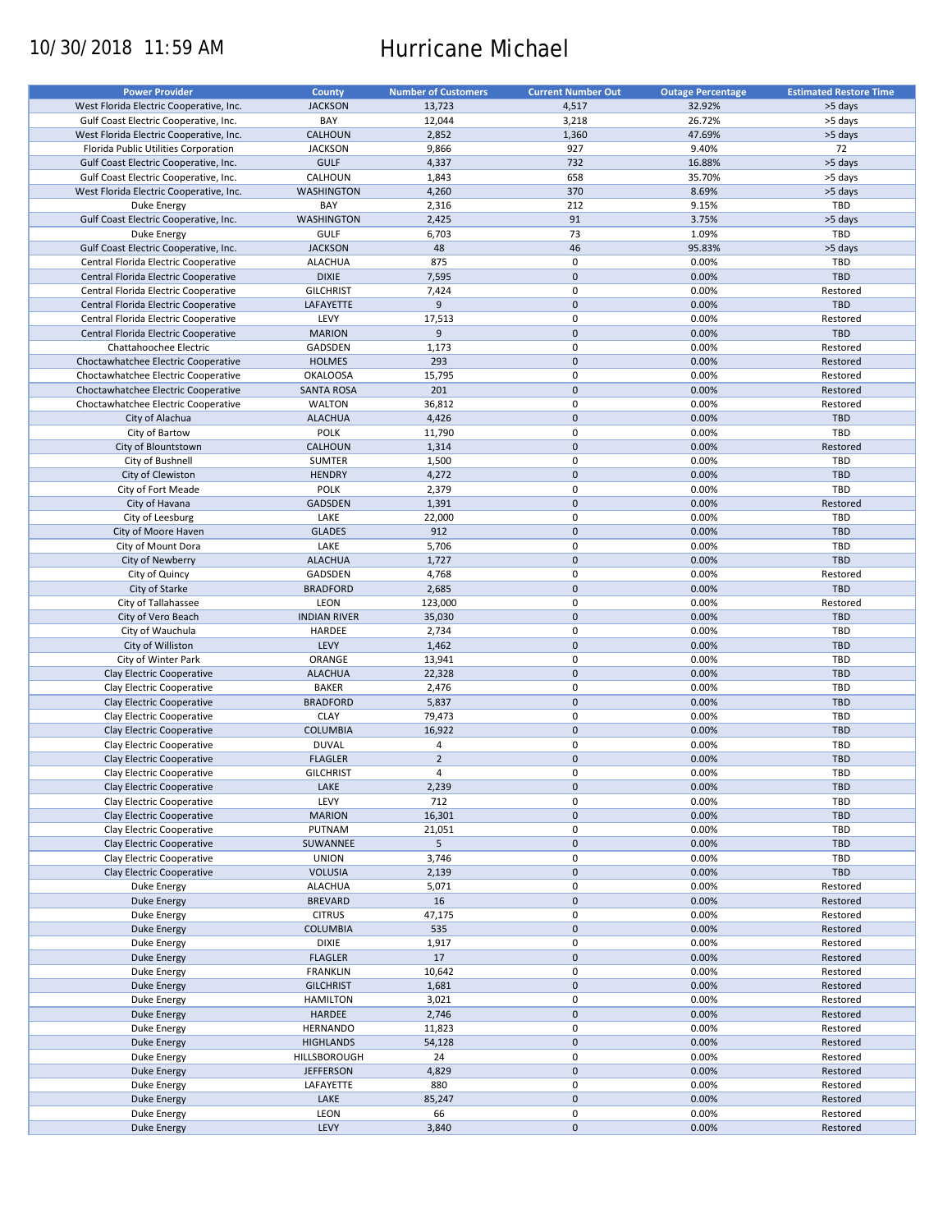# 10/30/2018 11:59 AM Hurricane Michael

| <b>Power Provider</b>                   | <b>County</b>       | <b>Number of Customers</b> | <b>Current Number Out</b> | <b>Outage Percentage</b> | <b>Estimated Restore Time</b> |
|-----------------------------------------|---------------------|----------------------------|---------------------------|--------------------------|-------------------------------|
|                                         |                     |                            |                           |                          |                               |
| West Florida Electric Cooperative, Inc. | <b>JACKSON</b>      | 13,723                     | 4,517                     | 32.92%                   | >5 days                       |
| Gulf Coast Electric Cooperative, Inc.   | BAY                 | 12,044                     | 3,218                     | 26.72%                   | >5 days                       |
| West Florida Electric Cooperative, Inc. | CALHOUN             | 2,852                      | 1,360                     | 47.69%                   | >5 days                       |
| Florida Public Utilities Corporation    | <b>JACKSON</b>      | 9,866                      | 927                       | 9.40%                    | 72                            |
| Gulf Coast Electric Cooperative, Inc.   | <b>GULF</b>         | 4,337                      | 732                       | 16.88%                   | >5 days                       |
|                                         | CALHOUN             |                            |                           |                          |                               |
| Gulf Coast Electric Cooperative, Inc.   |                     | 1,843                      | 658                       | 35.70%                   | >5 days                       |
| West Florida Electric Cooperative, Inc. | <b>WASHINGTON</b>   | 4,260                      | 370                       | 8.69%                    | >5 days                       |
| Duke Energy                             | BAY                 | 2,316                      | 212                       | 9.15%                    | TBD                           |
| Gulf Coast Electric Cooperative, Inc.   | <b>WASHINGTON</b>   | 2,425                      | 91                        | 3.75%                    | >5 days                       |
| Duke Energy                             | <b>GULF</b>         | 6,703                      | 73                        | 1.09%                    | TBD                           |
| Gulf Coast Electric Cooperative, Inc.   | <b>JACKSON</b>      | 48                         | 46                        | 95.83%                   | >5 days                       |
| Central Florida Electric Cooperative    | <b>ALACHUA</b>      | 875                        | 0                         | 0.00%                    | TBD                           |
|                                         | <b>DIXIE</b>        |                            | $\mathbf 0$               |                          | TBD                           |
| Central Florida Electric Cooperative    |                     | 7,595                      |                           | 0.00%                    |                               |
| Central Florida Electric Cooperative    | <b>GILCHRIST</b>    | 7,424                      | $\pmb{0}$                 | 0.00%                    | Restored                      |
| Central Florida Electric Cooperative    | LAFAYETTE           | 9                          | $\mathbf 0$               | 0.00%                    | <b>TBD</b>                    |
| Central Florida Electric Cooperative    | LEVY                | 17,513                     | $\pmb{0}$                 | 0.00%                    | Restored                      |
| Central Florida Electric Cooperative    | <b>MARION</b>       | 9                          | $\mathbf 0$               | 0.00%                    | <b>TBD</b>                    |
| Chattahoochee Electric                  | GADSDEN             | 1,173                      | $\pmb{0}$                 | 0.00%                    | Restored                      |
| Choctawhatchee Electric Cooperative     | <b>HOLMES</b>       | 293                        | $\mathbf 0$               | 0.00%                    | Restored                      |
|                                         |                     |                            |                           |                          |                               |
| Choctawhatchee Electric Cooperative     | <b>OKALOOSA</b>     | 15,795                     | $\pmb{0}$                 | 0.00%                    | Restored                      |
| Choctawhatchee Electric Cooperative     | <b>SANTA ROSA</b>   | 201                        | $\mathbf 0$               | 0.00%                    | Restored                      |
| Choctawhatchee Electric Cooperative     | <b>WALTON</b>       | 36,812                     | $\pmb{0}$                 | 0.00%                    | Restored                      |
| City of Alachua                         | <b>ALACHUA</b>      | 4,426                      | $\mathbf 0$               | 0.00%                    | <b>TBD</b>                    |
| City of Bartow                          | <b>POLK</b>         | 11,790                     | $\pmb{0}$                 | 0.00%                    | TBD                           |
| City of Blountstown                     | CALHOUN             | 1,314                      | $\mathbf 0$               | 0.00%                    | Restored                      |
|                                         |                     |                            |                           |                          |                               |
| City of Bushnell                        | SUMTER              | 1,500                      | 0                         | 0.00%                    | TBD                           |
| City of Clewiston                       | <b>HENDRY</b>       | 4,272                      | $\mathbf 0$               | 0.00%                    | <b>TBD</b>                    |
| City of Fort Meade                      | <b>POLK</b>         | 2,379                      | $\pmb{0}$                 | 0.00%                    | TBD                           |
| City of Havana                          | GADSDEN             | 1,391                      | $\mathbf 0$               | 0.00%                    | Restored                      |
| City of Leesburg                        | LAKE                | 22,000                     | 0                         | 0.00%                    | TBD                           |
| City of Moore Haven                     | <b>GLADES</b>       | 912                        | $\mathbf 0$               | 0.00%                    | <b>TBD</b>                    |
|                                         | LAKE                |                            | $\pmb{0}$                 | 0.00%                    | TBD                           |
| City of Mount Dora                      |                     | 5,706                      |                           |                          |                               |
| City of Newberry                        | <b>ALACHUA</b>      | 1,727                      | $\mathbf 0$               | 0.00%                    | <b>TBD</b>                    |
| City of Quincy                          | GADSDEN             | 4,768                      | 0                         | 0.00%                    | Restored                      |
| City of Starke                          | <b>BRADFORD</b>     | 2,685                      | $\mathbf 0$               | 0.00%                    | <b>TBD</b>                    |
| City of Tallahassee                     | <b>LEON</b>         | 123,000                    | 0                         | 0.00%                    | Restored                      |
| City of Vero Beach                      | <b>INDIAN RIVER</b> | 35,030                     | $\mathbf 0$               | 0.00%                    | <b>TBD</b>                    |
| City of Wauchula                        | HARDEE              | 2,734                      | $\pmb{0}$                 | 0.00%                    | TBD                           |
| City of Williston                       | LEVY                | 1,462                      | $\mathbf 0$               | 0.00%                    | <b>TBD</b>                    |
|                                         |                     |                            |                           |                          |                               |
| City of Winter Park                     | ORANGE              | 13,941                     | 0                         | 0.00%                    | TBD                           |
| Clay Electric Cooperative               | <b>ALACHUA</b>      | 22,328                     | $\mathbf 0$               | 0.00%                    | <b>TBD</b>                    |
| Clay Electric Cooperative               | <b>BAKER</b>        | 2,476                      | $\pmb{0}$                 | 0.00%                    | <b>TBD</b>                    |
| Clay Electric Cooperative               | <b>BRADFORD</b>     | 5,837                      | $\mathbf 0$               | 0.00%                    | <b>TBD</b>                    |
| Clay Electric Cooperative               | <b>CLAY</b>         | 79,473                     | 0                         | 0.00%                    | <b>TBD</b>                    |
| Clay Electric Cooperative               | <b>COLUMBIA</b>     | 16,922                     | $\mathbf 0$               | 0.00%                    | <b>TBD</b>                    |
| Clay Electric Cooperative               | <b>DUVAL</b>        | $\overline{4}$             | $\pmb{0}$                 | 0.00%                    | <b>TBD</b>                    |
|                                         |                     |                            |                           |                          |                               |
| Clay Electric Cooperative               | <b>FLAGLER</b>      | $\mathbf 2$                | $\mathbf 0$               | 0.00%                    | <b>TBD</b>                    |
| Clay Electric Cooperative               | <b>GILCHRIST</b>    | $\overline{4}$             | $\mathbf 0$               | 0.00%                    | TBD                           |
| Clay Electric Cooperative               | LAKE                | 2,239                      | $\pmb{0}$                 | 0.00%                    | <b>TBD</b>                    |
| Clay Electric Cooperative               | LEVY                | 712                        | 0                         | 0.00%                    | TBD                           |
| Clay Electric Cooperative               | <b>MARION</b>       | 16,301                     | $\pmb{0}$                 | 0.00%                    | TBD                           |
| Clay Electric Cooperative               | PUTNAM              | 21,051                     | 0                         | 0.00%                    | TBD                           |
| Clay Electric Cooperative               | SUWANNEE            | 5                          | $\mathsf{O}\xspace$       | 0.00%                    | <b>TBD</b>                    |
|                                         |                     |                            |                           |                          |                               |
| Clay Electric Cooperative               | <b>UNION</b>        | 3,746                      | 0                         | 0.00%                    | TBD                           |
| Clay Electric Cooperative               | <b>VOLUSIA</b>      | 2,139                      | $\mathsf{O}\xspace$       | 0.00%                    | TBD                           |
| Duke Energy                             | <b>ALACHUA</b>      | 5,071                      | 0                         | 0.00%                    | Restored                      |
| <b>Duke Energy</b>                      | <b>BREVARD</b>      | 16                         | $\pmb{0}$                 | 0.00%                    | Restored                      |
| Duke Energy                             | <b>CITRUS</b>       | 47,175                     | 0                         | 0.00%                    | Restored                      |
| Duke Energy                             | <b>COLUMBIA</b>     | 535                        | $\pmb{0}$                 | 0.00%                    | Restored                      |
| Duke Energy                             | DIXIE               | 1,917                      | 0                         | 0.00%                    | Restored                      |
|                                         |                     |                            |                           |                          |                               |
| Duke Energy                             | <b>FLAGLER</b>      | 17                         | $\pmb{0}$                 | 0.00%                    | Restored                      |
| Duke Energy                             | <b>FRANKLIN</b>     | 10,642                     | $\pmb{0}$                 | 0.00%                    | Restored                      |
| Duke Energy                             | <b>GILCHRIST</b>    | 1,681                      | $\pmb{0}$                 | 0.00%                    | Restored                      |
| Duke Energy                             | <b>HAMILTON</b>     | 3,021                      | $\pmb{0}$                 | 0.00%                    | Restored                      |
| Duke Energy                             | HARDEE              | 2,746                      | $\pmb{0}$                 | 0.00%                    | Restored                      |
| Duke Energy                             | <b>HERNANDO</b>     | 11,823                     | 0                         | 0.00%                    | Restored                      |
| <b>Duke Energy</b>                      | <b>HIGHLANDS</b>    | 54,128                     | $\pmb{0}$                 | 0.00%                    | Restored                      |
|                                         |                     |                            |                           |                          |                               |
| Duke Energy                             | HILLSBOROUGH        | 24                         | $\pmb{0}$                 | 0.00%                    | Restored                      |
| Duke Energy                             | <b>JEFFERSON</b>    | 4,829                      | $\pmb{0}$                 | 0.00%                    | Restored                      |
| Duke Energy                             | LAFAYETTE           | 880                        | 0                         | 0.00%                    | Restored                      |
| Duke Energy                             | LAKE                | 85,247                     | $\pmb{0}$                 | 0.00%                    | Restored                      |
| Duke Energy                             | LEON                | 66                         | 0                         | 0.00%                    | Restored                      |
| Duke Energy                             | LEVY                | 3,840                      | $\pmb{0}$                 | 0.00%                    | Restored                      |
|                                         |                     |                            |                           |                          |                               |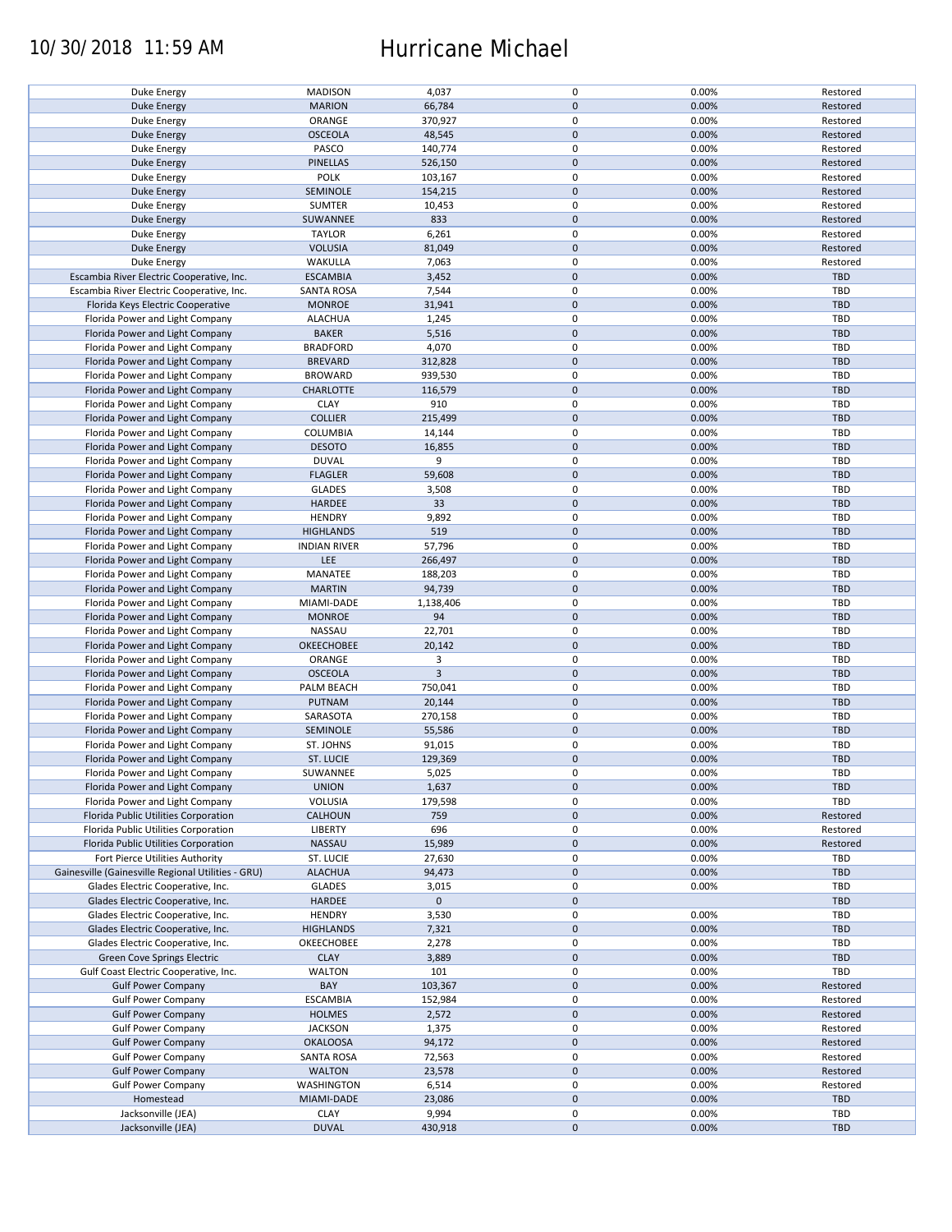## 10/30/2018 11:59 AM Hurricane Michael

| Duke Energy                                        | <b>MADISON</b>      | 4,037          | $\pmb{0}$           | 0.00% | Restored   |
|----------------------------------------------------|---------------------|----------------|---------------------|-------|------------|
| <b>Duke Energy</b>                                 | <b>MARION</b>       | 66,784         | $\mathbf 0$         | 0.00% | Restored   |
|                                                    |                     |                |                     |       |            |
| Duke Energy                                        | ORANGE              | 370,927        | 0                   | 0.00% | Restored   |
| <b>Duke Energy</b>                                 | <b>OSCEOLA</b>      | 48,545         | $\mathbf 0$         | 0.00% | Restored   |
|                                                    |                     |                |                     |       |            |
| Duke Energy                                        | PASCO               | 140,774        | $\pmb{0}$           | 0.00% | Restored   |
| <b>Duke Energy</b>                                 | PINELLAS            | 526,150        | $\mathbf 0$         | 0.00% | Restored   |
| Duke Energy                                        | POLK                | 103,167        | $\pmb{0}$           | 0.00% | Restored   |
|                                                    |                     |                |                     |       |            |
| Duke Energy                                        | SEMINOLE            | 154,215        | $\mathbf 0$         | 0.00% | Restored   |
| Duke Energy                                        | <b>SUMTER</b>       | 10,453         | $\pmb{0}$           | 0.00% | Restored   |
| <b>Duke Energy</b>                                 | SUWANNEE            | 833            | $\mathbf 0$         | 0.00% | Restored   |
|                                                    |                     |                |                     |       |            |
| Duke Energy                                        | <b>TAYLOR</b>       | 6,261          | 0                   | 0.00% | Restored   |
| <b>Duke Energy</b>                                 | <b>VOLUSIA</b>      | 81,049         | $\mathbf 0$         | 0.00% | Restored   |
| Duke Energy                                        | WAKULLA             | 7,063          | $\pmb{0}$           | 0.00% | Restored   |
|                                                    |                     |                |                     |       |            |
| Escambia River Electric Cooperative, Inc.          | <b>ESCAMBIA</b>     | 3,452          | $\mathbf 0$         | 0.00% | <b>TBD</b> |
| Escambia River Electric Cooperative, Inc.          | <b>SANTA ROSA</b>   | 7,544          | $\pmb{0}$           | 0.00% | <b>TBD</b> |
|                                                    |                     |                | $\pmb{0}$           |       |            |
| Florida Keys Electric Cooperative                  | <b>MONROE</b>       | 31,941         |                     | 0.00% | <b>TBD</b> |
| Florida Power and Light Company                    | <b>ALACHUA</b>      | 1,245          | $\pmb{0}$           | 0.00% | <b>TBD</b> |
| Florida Power and Light Company                    | <b>BAKER</b>        | 5,516          | $\pmb{0}$           | 0.00% | <b>TBD</b> |
|                                                    |                     |                |                     |       |            |
| Florida Power and Light Company                    | <b>BRADFORD</b>     | 4,070          | $\pmb{0}$           | 0.00% | <b>TBD</b> |
| Florida Power and Light Company                    | <b>BREVARD</b>      | 312,828        | $\pmb{0}$           | 0.00% | <b>TBD</b> |
| Florida Power and Light Company                    | <b>BROWARD</b>      | 939,530        | 0                   | 0.00% | <b>TBD</b> |
|                                                    |                     |                |                     |       |            |
| Florida Power and Light Company                    | <b>CHARLOTTE</b>    | 116,579        | $\pmb{0}$           | 0.00% | <b>TBD</b> |
| Florida Power and Light Company                    | <b>CLAY</b>         | 910            | 0                   | 0.00% | TBD        |
|                                                    |                     |                |                     |       |            |
| Florida Power and Light Company                    | <b>COLLIER</b>      | 215,499        | $\pmb{0}$           | 0.00% | <b>TBD</b> |
| Florida Power and Light Company                    | COLUMBIA            | 14,144         | $\pmb{0}$           | 0.00% | TBD        |
| Florida Power and Light Company                    | <b>DESOTO</b>       | 16,855         | $\pmb{0}$           | 0.00% | <b>TBD</b> |
|                                                    |                     |                |                     |       |            |
| Florida Power and Light Company                    | <b>DUVAL</b>        | 9              | $\pmb{0}$           | 0.00% | TBD        |
| Florida Power and Light Company                    | <b>FLAGLER</b>      | 59,608         | $\mathbf 0$         | 0.00% | <b>TBD</b> |
| Florida Power and Light Company                    | <b>GLADES</b>       | 3,508          | $\pmb{0}$           | 0.00% | TBD        |
|                                                    |                     |                |                     |       |            |
| Florida Power and Light Company                    | <b>HARDEE</b>       | 33             | $\mathbf 0$         | 0.00% | <b>TBD</b> |
| Florida Power and Light Company                    | <b>HENDRY</b>       | 9,892          | 0                   | 0.00% | TBD        |
| Florida Power and Light Company                    | <b>HIGHLANDS</b>    | 519            | $\mathbf 0$         | 0.00% | <b>TBD</b> |
|                                                    |                     |                |                     |       |            |
| Florida Power and Light Company                    | <b>INDIAN RIVER</b> | 57,796         | 0                   | 0.00% | TBD        |
| Florida Power and Light Company                    | LEE                 | 266,497        | $\pmb{0}$           | 0.00% | <b>TBD</b> |
| Florida Power and Light Company                    | MANATEE             | 188,203        | 0                   | 0.00% | TBD        |
|                                                    |                     |                |                     |       |            |
| Florida Power and Light Company                    | <b>MARTIN</b>       | 94,739         | $\mathbf 0$         | 0.00% | <b>TBD</b> |
| Florida Power and Light Company                    | MIAMI-DADE          | 1,138,406      | 0                   | 0.00% | TBD        |
| Florida Power and Light Company                    | <b>MONROE</b>       | 94             | $\mathbf 0$         | 0.00% | <b>TBD</b> |
|                                                    |                     |                |                     |       |            |
| Florida Power and Light Company                    | NASSAU              | 22,701         | $\pmb{0}$           | 0.00% | TBD        |
| Florida Power and Light Company                    | <b>OKEECHOBEE</b>   | 20,142         | $\mathbf 0$         | 0.00% | <b>TBD</b> |
| Florida Power and Light Company                    | ORANGE              | 3              | $\pmb{0}$           | 0.00% | TBD        |
|                                                    |                     |                |                     |       |            |
| Florida Power and Light Company                    | <b>OSCEOLA</b>      | $\overline{3}$ | $\pmb{0}$           | 0.00% | <b>TBD</b> |
| Florida Power and Light Company                    | PALM BEACH          | 750,041        | $\pmb{0}$           | 0.00% | TBD        |
|                                                    |                     |                | $\pmb{0}$           |       | <b>TBD</b> |
| Florida Power and Light Company                    | PUTNAM              | 20,144         |                     | 0.00% |            |
| Florida Power and Light Company                    | SARASOTA            | 270,158        | 0                   | 0.00% | TBD        |
| Florida Power and Light Company                    | SEMINOLE            | 55,586         | $\mathbf 0$         | 0.00% | <b>TBD</b> |
|                                                    |                     |                |                     |       |            |
| Florida Power and Light Company                    | ST. JOHNS           | 91,015         | $\pmb{0}$           | 0.00% | <b>TBD</b> |
| Florida Power and Light Company                    | ST. LUCIE           | 129,369        | $\pmb{0}$           | 0.00% | <b>TBD</b> |
|                                                    |                     |                | $\mathbf 0$         |       | TBD        |
| Florida Power and Light Company                    | SUWANNEE            | 5,025          |                     | 0.00% |            |
| Florida Power and Light Company                    | <b>UNION</b>        | 1,637          | $\pmb{0}$           | 0.00% | <b>TBD</b> |
| Florida Power and Light Company                    | VOLUSIA             | 179,598        | 0                   | 0.00% | TBD        |
|                                                    |                     |                |                     |       |            |
| Florida Public Utilities Corporation               | CALHOUN             | 759            | $\mathsf{O}\xspace$ | 0.00% | Restored   |
| Florida Public Utilities Corporation               | <b>LIBERTY</b>      | 696            | 0                   | 0.00% | Restored   |
| Florida Public Utilities Corporation               | NASSAU              | 15,989         | $\mathsf{O}\xspace$ | 0.00% | Restored   |
|                                                    |                     |                |                     |       |            |
| Fort Pierce Utilities Authority                    | ST. LUCIE           | 27,630         | 0                   | 0.00% | TBD        |
| Gainesville (Gainesville Regional Utilities - GRU) | <b>ALACHUA</b>      | 94,473         | $\mathsf{O}\xspace$ | 0.00% | <b>TBD</b> |
| Glades Electric Cooperative, Inc.                  | <b>GLADES</b>       | 3,015          | 0                   | 0.00% | TBD        |
|                                                    |                     |                |                     |       |            |
| Glades Electric Cooperative, Inc.                  | <b>HARDEE</b>       | $\mathbf 0$    | $\mathsf{O}\xspace$ |       | <b>TBD</b> |
| Glades Electric Cooperative, Inc.                  | <b>HENDRY</b>       | 3,530          | 0                   | 0.00% | TBD        |
| Glades Electric Cooperative, Inc.                  | <b>HIGHLANDS</b>    | 7,321          | $\pmb{0}$           | 0.00% | <b>TBD</b> |
|                                                    |                     |                |                     |       |            |
| Glades Electric Cooperative, Inc.                  | OKEECHOBEE          | 2,278          | 0                   | 0.00% | TBD        |
| Green Cove Springs Electric                        | <b>CLAY</b>         | 3,889          | $\mathsf{O}\xspace$ | 0.00% | <b>TBD</b> |
| Gulf Coast Electric Cooperative, Inc.              | <b>WALTON</b>       | 101            | 0                   | 0.00% | TBD        |
|                                                    |                     |                |                     |       |            |
| <b>Gulf Power Company</b>                          | BAY                 | 103,367        | $\pmb{0}$           | 0.00% | Restored   |
| <b>Gulf Power Company</b>                          | <b>ESCAMBIA</b>     | 152,984        | 0                   | 0.00% | Restored   |
| <b>Gulf Power Company</b>                          | <b>HOLMES</b>       | 2,572          | $\pmb{0}$           | 0.00% | Restored   |
|                                                    |                     |                |                     |       |            |
| <b>Gulf Power Company</b>                          | <b>JACKSON</b>      | 1,375          | $\pmb{0}$           | 0.00% | Restored   |
| <b>Gulf Power Company</b>                          | <b>OKALOOSA</b>     | 94,172         | $\pmb{0}$           | 0.00% | Restored   |
| <b>Gulf Power Company</b>                          | <b>SANTA ROSA</b>   | 72,563         | 0                   | 0.00% | Restored   |
|                                                    |                     |                |                     |       |            |
| <b>Gulf Power Company</b>                          | <b>WALTON</b>       | 23,578         | $\pmb{0}$           | 0.00% | Restored   |
| <b>Gulf Power Company</b>                          | <b>WASHINGTON</b>   | 6,514          | 0                   | 0.00% | Restored   |
| Homestead                                          | MIAMI-DADE          | 23,086         | $\pmb{0}$           | 0.00% | <b>TBD</b> |
|                                                    |                     |                |                     |       |            |
| Jacksonville (JEA)                                 | <b>CLAY</b>         | 9,994          | 0                   | 0.00% | TBD        |
| Jacksonville (JEA)                                 | <b>DUVAL</b>        | 430,918        | $\pmb{0}$           | 0.00% | <b>TBD</b> |
|                                                    |                     |                |                     |       |            |